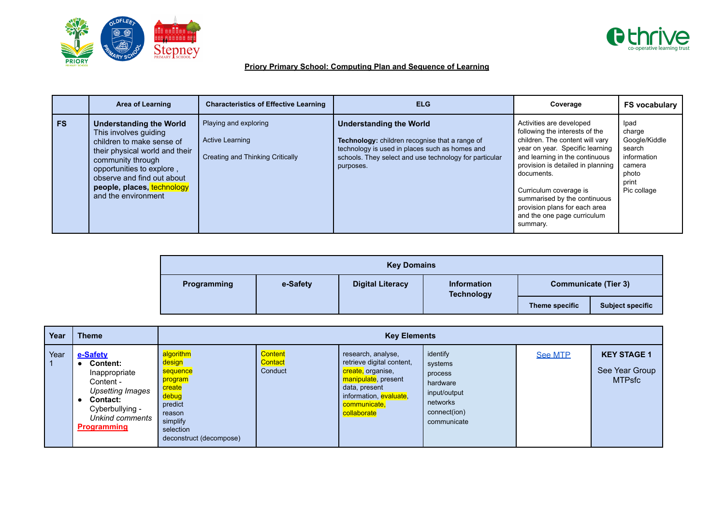



## **Priory Primary School: Computing Plan and Sequence of Learning**

|    | <b>Area of Learning</b>                                                                                                                                                                                                                                     | <b>Characteristics of Effective Learning</b>                                        | <b>ELG</b>                                                                                                                                                                                                       | Coverage                                                                                                                                                                                                                                                                                                                                                    | <b>FS vocabulary</b>                                                                                |
|----|-------------------------------------------------------------------------------------------------------------------------------------------------------------------------------------------------------------------------------------------------------------|-------------------------------------------------------------------------------------|------------------------------------------------------------------------------------------------------------------------------------------------------------------------------------------------------------------|-------------------------------------------------------------------------------------------------------------------------------------------------------------------------------------------------------------------------------------------------------------------------------------------------------------------------------------------------------------|-----------------------------------------------------------------------------------------------------|
| FS | <b>Understanding the World</b><br>This involves guiding<br>children to make sense of<br>their physical world and their<br>community through<br>opportunities to explore,<br>observe and find out about<br>people, places, technology<br>and the environment | Playing and exploring<br><b>Active Learning</b><br>Creating and Thinking Critically | <b>Understanding the World</b><br><b>Technology:</b> children recognise that a range of<br>technology is used in places such as homes and<br>schools. They select and use technology for particular<br>purposes. | Activities are developed<br>following the interests of the<br>children. The content will vary<br>year on year. Specific learning<br>and learning in the continuous<br>provision is detailed in planning<br>documents.<br>Curriculum coverage is<br>summarised by the continuous<br>provision plans for each area<br>and the one page curriculum<br>summary. | Ipad<br>charge<br>Google/Kiddle<br>search<br>information<br>camera<br>photo<br>print<br>Pic collage |

|             |          | <b>Key Domains</b>                                          |  |                |                             |  |
|-------------|----------|-------------------------------------------------------------|--|----------------|-----------------------------|--|
| Programming | e-Safety | <b>Digital Literacy</b><br>Information<br><b>Technology</b> |  |                | <b>Communicate (Tier 3)</b> |  |
|             |          |                                                             |  | Theme specific | <b>Subject specific</b>     |  |

| Year | <b>Theme</b>                                                                                                                                                 |                                                                                                                                        | <b>Key Elements</b>                  |                                                                                                                                                                       |                                                                                                       |         |                                                       |  |  |  |
|------|--------------------------------------------------------------------------------------------------------------------------------------------------------------|----------------------------------------------------------------------------------------------------------------------------------------|--------------------------------------|-----------------------------------------------------------------------------------------------------------------------------------------------------------------------|-------------------------------------------------------------------------------------------------------|---------|-------------------------------------------------------|--|--|--|
| Year | e-Safety<br><b>Content:</b><br>Inappropriate<br>Content -<br>Upsetting Images<br><b>Contact:</b><br>Cyberbullying -<br>Unkind comments<br><b>Programming</b> | algorithm<br>design<br>sequence<br>program<br>create<br>debug<br>predict<br>reason<br>simplify<br>selection<br>deconstruct (decompose) | Content<br><b>Contact</b><br>Conduct | research, analyse,<br>retrieve digital content,<br>create, organise,<br>manipulate, present<br>data, present<br>information, evaluate,<br>communicate,<br>collaborate | identify<br>systems<br>process<br>hardware<br>input/output<br>networks<br>connect(ion)<br>communicate | See MTP | <b>KEY STAGE 1</b><br>See Year Group<br><b>MTPsfc</b> |  |  |  |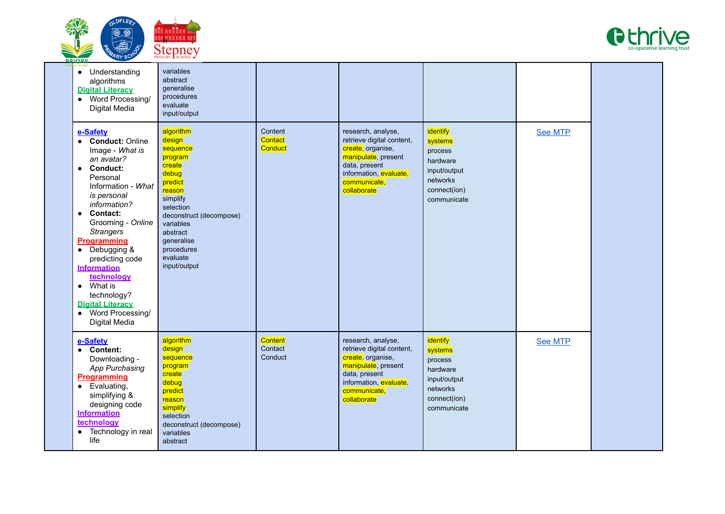



| • Understanding<br>algorithms<br><b>Digital Literacy</b><br>Word Processing/<br>Digital Media                                                                                                                                                                                                                                                                                                                                                              | variables<br>abstract<br>generalise<br>procedures<br>evaluate<br>input/output                                                                                                                                           |                                      |                                                                                                                                                                       |                                                                                                       |         |  |
|------------------------------------------------------------------------------------------------------------------------------------------------------------------------------------------------------------------------------------------------------------------------------------------------------------------------------------------------------------------------------------------------------------------------------------------------------------|-------------------------------------------------------------------------------------------------------------------------------------------------------------------------------------------------------------------------|--------------------------------------|-----------------------------------------------------------------------------------------------------------------------------------------------------------------------|-------------------------------------------------------------------------------------------------------|---------|--|
| e-Safety<br>• Conduct: Online<br>Image - What is<br>an avatar?<br><b>Conduct:</b><br>$\bullet$<br>Personal<br>Information - What<br>is personal<br>information?<br><b>Contact:</b><br>$\bullet$<br>Grooming - Online<br><b>Strangers</b><br><b>Programming</b><br>Debugging &<br>$\bullet$<br>predicting code<br><b>Information</b><br>technology<br>What is<br>$\bullet$<br>technology?<br><b>Digital Literacy</b><br>• Word Processing/<br>Digital Media | algorithm<br>design<br>sequence<br>program<br>create<br>debug<br>predict<br>reason<br>simplify<br>selection<br>deconstruct (decompose)<br>variables<br>abstract<br>qeneralise<br>procedures<br>evaluate<br>input/output | Content<br>Contact<br>Conduct        | research, analyse,<br>retrieve digital content,<br>create, organise,<br>manipulate, present<br>data, present<br>information, evaluate,<br>communicate,<br>collaborate | identify<br>systems<br>process<br>hardware<br>input/output<br>networks<br>connect(ion)<br>communicate | See MTP |  |
| e-Safety<br>• Content:<br>Downloading -<br>App Purchasing<br><b>Programming</b><br>$\bullet$ Evaluating,<br>simplifying &<br>designing code<br><b>Information</b><br>technology<br>Technology in real<br>life                                                                                                                                                                                                                                              | algorithm<br>design<br>sequence<br>program<br>create<br>debug<br>predict<br>reason<br>simplify<br>selection<br>deconstruct (decompose)<br>variables<br>abstract                                                         | <b>Content</b><br>Contact<br>Conduct | research, analyse,<br>retrieve digital content,<br>create, organise,<br>manipulate, present<br>data, present<br>information, evaluate,<br>communicate,<br>collaborate | identify<br>systems<br>process<br>hardware<br>input/output<br>networks<br>connect(ion)<br>communicate | See MTP |  |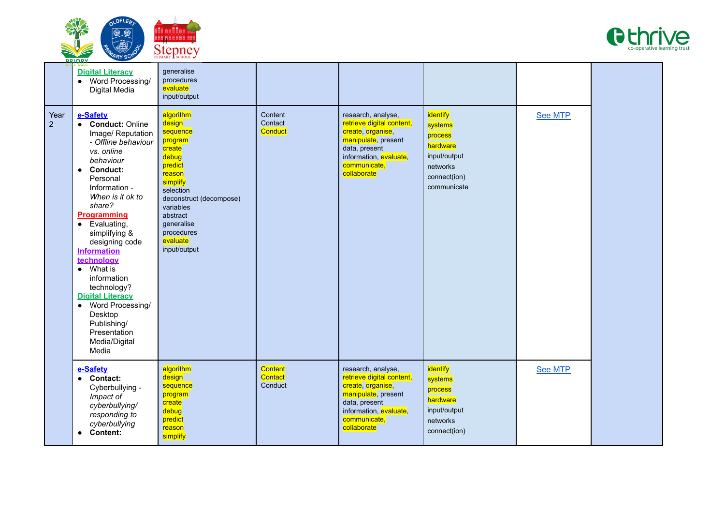



|                        | <b>Digital Literacy</b><br>Word Processing/<br>$\bullet$<br>Digital Media                                                                                                                                                                                                                                                                                                                                                                                                                                   | generalise<br>procedures<br>evaluate<br>input/output                                                                                                                                                                    |                               |                                                                                                                                                                       |                                                                                                       |         |  |
|------------------------|-------------------------------------------------------------------------------------------------------------------------------------------------------------------------------------------------------------------------------------------------------------------------------------------------------------------------------------------------------------------------------------------------------------------------------------------------------------------------------------------------------------|-------------------------------------------------------------------------------------------------------------------------------------------------------------------------------------------------------------------------|-------------------------------|-----------------------------------------------------------------------------------------------------------------------------------------------------------------------|-------------------------------------------------------------------------------------------------------|---------|--|
| Year<br>$\overline{2}$ | e-Safety<br>• Conduct: Online<br>Image/ Reputation<br>- Offline behaviour<br>vs. online<br>behaviour<br><b>Conduct:</b><br>$\bullet$<br>Personal<br>Information -<br>When is it ok to<br>share?<br><b>Programming</b><br>Evaluating,<br>$\bullet$<br>simplifying &<br>designing code<br><b>Information</b><br>technology<br>$\bullet$ What is<br>information<br>technology?<br><b>Digital Literacy</b><br>Word Processing/<br>$\bullet$<br>Desktop<br>Publishing/<br>Presentation<br>Media/Digital<br>Media | algorithm<br>design<br>sequence<br>program<br>create<br>debug<br>predict<br>reason<br>simplify<br>selection<br>deconstruct (decompose)<br>variables<br>abstract<br>qeneralise<br>procedures<br>evaluate<br>input/output | Content<br>Contact<br>Conduct | research, analyse,<br>retrieve digital content,<br>create, organise,<br>manipulate, present<br>data, present<br>information, evaluate,<br>communicate,<br>collaborate | identify<br>systems<br>process<br>hardware<br>input/output<br>networks<br>connect(ion)<br>communicate | See MTP |  |
|                        | e-Safety<br><b>Contact:</b><br>$\bullet$<br>Cyberbullying -<br>Impact of<br>cyberbullying/<br>responding to<br>cyberbullying<br>• Content:                                                                                                                                                                                                                                                                                                                                                                  | algorithm<br>design<br>sequence<br>program<br>create<br>debug<br>predict<br>reason<br>simplify                                                                                                                          | Content<br>Contact<br>Conduct | research, analyse,<br>retrieve digital content,<br>create, organise,<br>manipulate, present<br>data, present<br>information, evaluate,<br>communicate,<br>collaborate | identify<br>systems<br>process<br>hardware<br>input/output<br>networks<br>connect(ion)                | See MTP |  |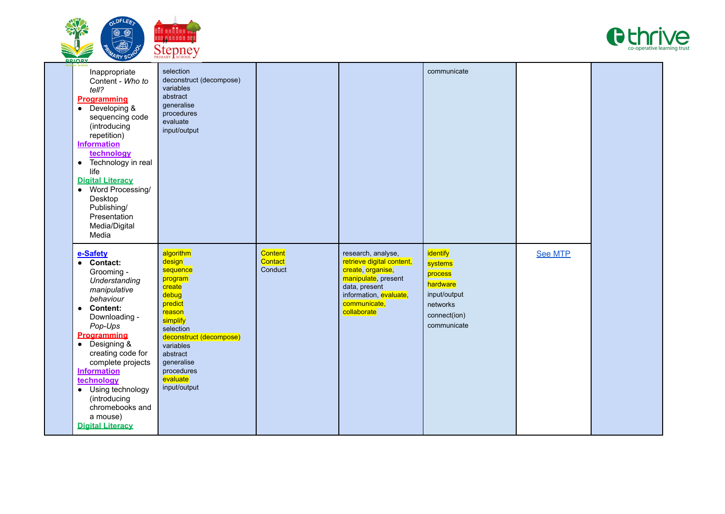



| <u> PRIORY</u> |                                                                                                                                                                                                                                                                                                                                                                     |                                                                                                                                                                                                                         |                                      |                                                                                                                                                                       |                                                                                                       |                |  |
|----------------|---------------------------------------------------------------------------------------------------------------------------------------------------------------------------------------------------------------------------------------------------------------------------------------------------------------------------------------------------------------------|-------------------------------------------------------------------------------------------------------------------------------------------------------------------------------------------------------------------------|--------------------------------------|-----------------------------------------------------------------------------------------------------------------------------------------------------------------------|-------------------------------------------------------------------------------------------------------|----------------|--|
|                | Inappropriate<br>Content - Who to<br>$t$ ell?<br><b>Programming</b><br>$\bullet$ Developing &<br>sequencing code<br>(introducing<br>repetition)<br><b>Information</b><br>technology<br>Technology in real<br>$\bullet$<br>life<br><b>Digital Literacy</b><br>Word Processing/<br>$\bullet$<br>Desktop<br>Publishing/<br>Presentation<br>Media/Digital<br>Media      | selection<br>deconstruct (decompose)<br>variables<br>abstract<br>generalise<br>procedures<br>evaluate<br>input/output                                                                                                   |                                      |                                                                                                                                                                       | communicate                                                                                           |                |  |
|                | e-Safety<br>• Contact:<br>Grooming -<br>Understanding<br>manipulative<br>behaviour<br><b>Content:</b><br>$\bullet$<br>Downloading -<br>Pop-Ups<br><b>Programming</b><br>• Designing &<br>creating code for<br>complete projects<br><b>Information</b><br>technology<br>• Using technology<br>(introducing<br>chromebooks and<br>a mouse)<br><b>Digital Literacy</b> | algorithm<br>design<br>sequence<br>program<br>create<br>debug<br>predict<br>reason<br>simplify<br>selection<br>deconstruct (decompose)<br>variables<br>abstract<br>generalise<br>procedures<br>evaluate<br>input/output | <b>Content</b><br>Contact<br>Conduct | research, analyse,<br>retrieve digital content,<br>create, organise,<br>manipulate, present<br>data, present<br>information, evaluate,<br>communicate,<br>collaborate | identify<br>systems<br>process<br>hardware<br>input/output<br>networks<br>connect(ion)<br>communicate | <b>See MTP</b> |  |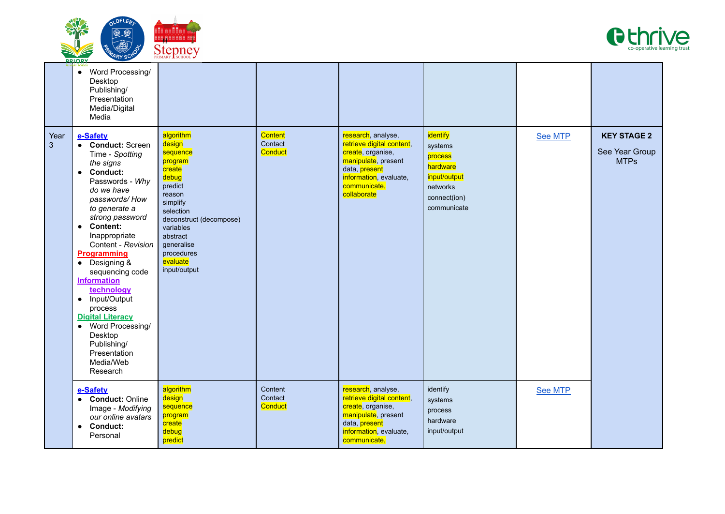



|           | РКЮКУ                                                                                                                                                                                                                                                                                                                                                                                                                                                                                                |                                                                                                                                                                                                                         |                                      |                                                                                                                                                                       |                                                                                                       |         |                                                     |
|-----------|------------------------------------------------------------------------------------------------------------------------------------------------------------------------------------------------------------------------------------------------------------------------------------------------------------------------------------------------------------------------------------------------------------------------------------------------------------------------------------------------------|-------------------------------------------------------------------------------------------------------------------------------------------------------------------------------------------------------------------------|--------------------------------------|-----------------------------------------------------------------------------------------------------------------------------------------------------------------------|-------------------------------------------------------------------------------------------------------|---------|-----------------------------------------------------|
|           | • Word Processing/<br>Desktop<br>Publishing/<br>Presentation<br>Media/Digital<br>Media                                                                                                                                                                                                                                                                                                                                                                                                               |                                                                                                                                                                                                                         |                                      |                                                                                                                                                                       |                                                                                                       |         |                                                     |
| Year<br>3 | e-Safety<br>• Conduct: Screen<br>Time - Spotting<br>the signs<br>• Conduct:<br>Passwords - Why<br>do we have<br>passwords/How<br>to generate a<br>strong password<br><b>Content:</b><br>$\bullet$<br>Inappropriate<br>Content - Revision<br>Programming<br>Designing &<br>$\bullet$<br>sequencing code<br><b>Information</b><br>technology<br>Input/Output<br>$\bullet$<br>process<br><b>Digital Literacy</b><br>Word Processing/<br>Desktop<br>Publishing/<br>Presentation<br>Media/Web<br>Research | algorithm<br>design<br>sequence<br>program<br>create<br>debug<br>predict<br>reason<br>simplify<br>selection<br>deconstruct (decompose)<br>variables<br>abstract<br>generalise<br>procedures<br>evaluate<br>input/output | <b>Content</b><br>Contact<br>Conduct | research, analyse,<br>retrieve digital content,<br>create, organise,<br>manipulate, present<br>data, present<br>information, evaluate,<br>communicate,<br>collaborate | identify<br>systems<br>process<br>hardware<br>input/output<br>networks<br>connect(ion)<br>communicate | See MTP | <b>KEY STAGE 2</b><br>See Year Group<br><b>MTPs</b> |
|           | e-Safety<br><b>Conduct: Online</b><br>$\bullet$<br>Image - Modifying<br>our online avatars<br><b>Conduct:</b><br>$\bullet$<br>Personal                                                                                                                                                                                                                                                                                                                                                               | algorithm<br>design<br>sequence<br>program<br>create<br>debug<br>predict                                                                                                                                                | Content<br>Contact<br>Conduct        | research, analyse,<br>retrieve digital content,<br>create, organise,<br>manipulate, present<br>data, present<br>information, evaluate,<br>communicate,                | identify<br>systems<br>process<br>hardware<br>input/output                                            | See MTP |                                                     |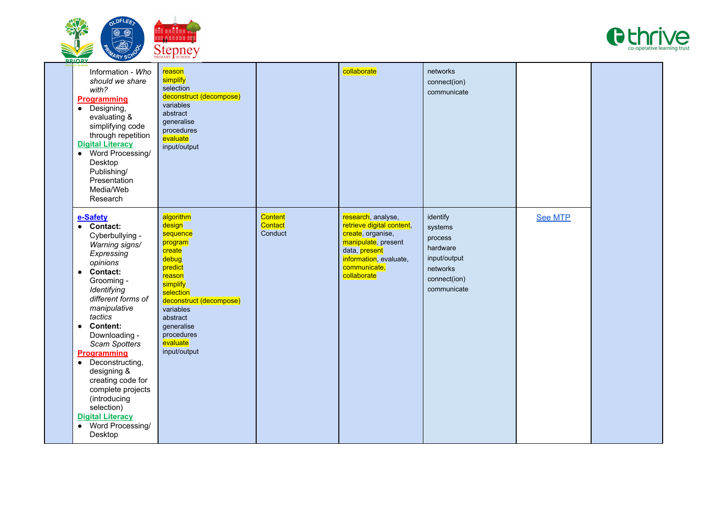



| <u>RKIOKI</u>                                                                                                                                                                                                                                                                                                                                                                                                                                                |                                                                                                                                                                                                                         |                                      |                                                                                                                                                                       |                                                                                                       |                |  |
|--------------------------------------------------------------------------------------------------------------------------------------------------------------------------------------------------------------------------------------------------------------------------------------------------------------------------------------------------------------------------------------------------------------------------------------------------------------|-------------------------------------------------------------------------------------------------------------------------------------------------------------------------------------------------------------------------|--------------------------------------|-----------------------------------------------------------------------------------------------------------------------------------------------------------------------|-------------------------------------------------------------------------------------------------------|----------------|--|
| Information - Who<br>should we share<br>with?<br><b>Programming</b><br>• Designing,<br>evaluating &<br>simplifying code<br>through repetition<br><b>Digital Literacy</b><br>Word Processing/<br>$\bullet$<br>Desktop<br>Publishing/<br>Presentation<br>Media/Web<br>Research                                                                                                                                                                                 | reason<br>simplify<br>selection<br>deconstruct (decompose)<br>variables<br>abstract<br>generalise<br>procedures<br>evaluate<br>input/output                                                                             |                                      | collaborate                                                                                                                                                           | networks<br>connect(ion)<br>communicate                                                               |                |  |
| e-Safety<br>• Contact:<br>Cyberbullying -<br>Warning signs/<br>Expressing<br>opinions<br><b>Contact:</b><br>$\bullet$<br>Grooming -<br>Identifying<br>different forms of<br>manipulative<br>tactics<br><b>Content:</b><br>$\bullet$<br>Downloading -<br>Scam Spotters<br>Programming<br>• Deconstructing,<br>designing &<br>creating code for<br>complete projects<br>(introducing<br>selection)<br><b>Digital Literacy</b><br>• Word Processing/<br>Desktop | algorithm<br>design<br>sequence<br>program<br>create<br>debug<br>predict<br>reason<br>simplify<br>selection<br>deconstruct (decompose)<br>variables<br>abstract<br>generalise<br>procedures<br>evaluate<br>input/output | <b>Content</b><br>Contact<br>Conduct | research, analyse,<br>retrieve digital content,<br>create, organise,<br>manipulate, present<br>data, present<br>information, evaluate,<br>communicate,<br>collaborate | identify<br>systems<br>process<br>hardware<br>input/output<br>networks<br>connect(ion)<br>communicate | <b>See MTP</b> |  |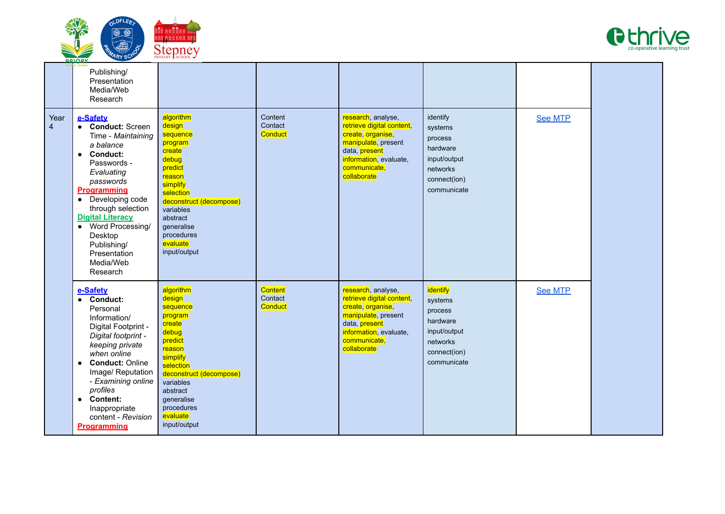



|                        | риник<br>Publishing/<br>Presentation<br>Media/Web<br>Research                                                                                                                                                                                                                                                                                   |                                                                                                                                                                                                                         |                                      |                                                                                                                                                                       |                                                                                                       |         |  |
|------------------------|-------------------------------------------------------------------------------------------------------------------------------------------------------------------------------------------------------------------------------------------------------------------------------------------------------------------------------------------------|-------------------------------------------------------------------------------------------------------------------------------------------------------------------------------------------------------------------------|--------------------------------------|-----------------------------------------------------------------------------------------------------------------------------------------------------------------------|-------------------------------------------------------------------------------------------------------|---------|--|
| Year<br>$\overline{4}$ | e-Safety<br>• Conduct: Screen<br>Time - Maintaining<br>a balance<br>Conduct:<br>$\bullet$<br>Passwords -<br>Evaluating<br>passwords<br><b>Programming</b><br>Developing code<br>$\bullet$<br>through selection<br><b>Digital Literacy</b><br>Word Processing/<br>$\bullet$<br>Desktop<br>Publishing/<br>Presentation<br>Media/Web<br>Research   | algorithm<br>design<br>sequence<br>program<br>create<br>debug<br>predict<br>reason<br>simplify<br>selection<br>deconstruct (decompose)<br>variables<br>abstract<br>qeneralise<br>procedures<br>evaluate<br>input/output | Content<br>Contact<br>Conduct        | research, analyse,<br>retrieve digital content,<br>create, organise,<br>manipulate, present<br>data, present<br>information, evaluate,<br>communicate,<br>collaborate | identify<br>systems<br>process<br>hardware<br>input/output<br>networks<br>connect(ion)<br>communicate | See MTP |  |
|                        | e-Safety<br><b>Conduct:</b><br>$\bullet$<br>Personal<br>Information/<br>Digital Footprint -<br>Digital footprint -<br>keeping private<br>when online<br><b>Conduct: Online</b><br>$\bullet$<br>Image/ Reputation<br>- Examining online<br>profiles<br><b>Content:</b><br>$\bullet$<br>Inappropriate<br>content - Revision<br><b>Programming</b> | algorithm<br>design<br>sequence<br>program<br>create<br>debug<br>predict<br>reason<br>simplify<br>selection<br>deconstruct (decompose)<br>variables<br>abstract<br>qeneralise<br>procedures<br>evaluate<br>input/output | <b>Content</b><br>Contact<br>Conduct | research, analyse,<br>retrieve digital content,<br>create, organise,<br>manipulate, present<br>data, present<br>information, evaluate,<br>communicate,<br>collaborate | identify<br>systems<br>process<br>hardware<br>input/output<br>networks<br>connect(ion)<br>communicate | See MTP |  |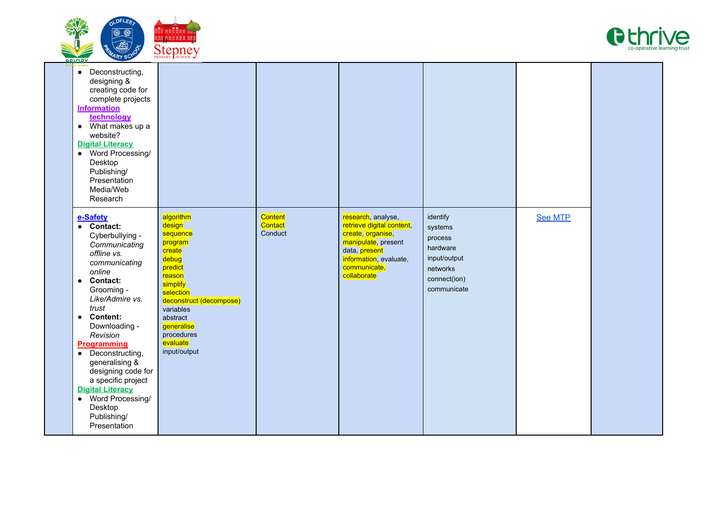



| Y SCHOO<br>• Deconstructing,<br>designing &<br>creating code for<br>complete projects<br><b>Information</b><br>technology<br>$\bullet$ What makes up a<br>website?<br><b>Digital Literacy</b><br>• Word Processing/<br>Desktop<br>Publishing/<br>Presentation<br>Media/Web<br>Research                                                                                                                                                   |                                                                                                                                                                                                                         |                                      |                                                                                                                                                                       |                                                                                                       |         |  |
|------------------------------------------------------------------------------------------------------------------------------------------------------------------------------------------------------------------------------------------------------------------------------------------------------------------------------------------------------------------------------------------------------------------------------------------|-------------------------------------------------------------------------------------------------------------------------------------------------------------------------------------------------------------------------|--------------------------------------|-----------------------------------------------------------------------------------------------------------------------------------------------------------------------|-------------------------------------------------------------------------------------------------------|---------|--|
| e-Safety<br>• Contact:<br>Cyberbullying -<br>Communicating<br>offline vs.<br>communicating<br>online<br><b>Contact:</b><br>$\bullet$<br>Grooming -<br>Like/Admire vs.<br>trust<br><b>Content:</b><br>$\bullet$<br>Downloading -<br>Revision<br>Programming<br>• Deconstructing,<br>generalising &<br>designing code for<br>a specific project<br><b>Digital Literacy</b><br>• Word Processing/<br>Desktop<br>Publishing/<br>Presentation | algorithm<br>design<br>sequence<br>program<br>create<br>debug<br>predict<br>reason<br>simplify<br>selection<br>deconstruct (decompose)<br>variables<br>abstract<br>generalise<br>procedures<br>evaluate<br>input/output | <b>Content</b><br>Contact<br>Conduct | research, analyse,<br>retrieve digital content,<br>create, organise,<br>manipulate, present<br>data, present<br>information, evaluate,<br>communicate,<br>collaborate | identify<br>systems<br>process<br>hardware<br>input/output<br>networks<br>connect(ion)<br>communicate | See MTP |  |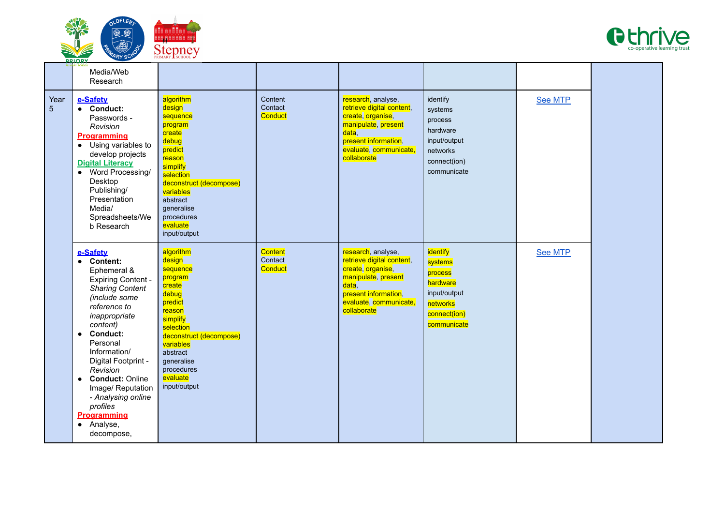



|           | Media/Web<br>Research                                                                                                                                                                                                                                                                                                                                          |                                                                                                                                                                                                                         |                                      |                                                                                                                                                                       |                                                                                                       |                |  |
|-----------|----------------------------------------------------------------------------------------------------------------------------------------------------------------------------------------------------------------------------------------------------------------------------------------------------------------------------------------------------------------|-------------------------------------------------------------------------------------------------------------------------------------------------------------------------------------------------------------------------|--------------------------------------|-----------------------------------------------------------------------------------------------------------------------------------------------------------------------|-------------------------------------------------------------------------------------------------------|----------------|--|
| Year<br>5 | e-Safety<br>• Conduct:<br>Passwords -<br>Revision<br>Programming<br>• Using variables to<br>develop projects<br><b>Digital Literacy</b><br>• Word Processing/<br>Desktop<br>Publishing/<br>Presentation<br>Media/<br>Spreadsheets/We<br>b Research                                                                                                             | algorithm<br>design<br>sequence<br>program<br>create<br>debug<br>predict<br>reason<br>simplify<br>selection<br>deconstruct (decompose)<br>variables<br>abstract<br>qeneralise<br>procedures<br>evaluate<br>input/output | Content<br>Contact<br>Conduct        | research, analyse,<br>retrieve digital content,<br>create, organise,<br>manipulate, present<br>data,<br>present information,<br>evaluate, communicate,<br>collaborate | identify<br>systems<br>process<br>hardware<br>input/output<br>networks<br>connect(ion)<br>communicate | <b>See MTP</b> |  |
|           | e-Safety<br>• Content:<br>Ephemeral &<br><b>Expiring Content -</b><br><b>Sharing Content</b><br>(include some<br>reference to<br>inappropriate<br>content)<br>• Conduct:<br>Personal<br>Information/<br>Digital Footprint -<br>Revision<br>• Conduct: Online<br>Image/ Reputation<br>- Analysing online<br>profiles<br>Programming<br>• Analyse,<br>decompose, | algorithm<br>design<br>sequence<br>program<br>create<br>debug<br>predict<br>reason<br>simplify<br>selection<br>deconstruct (decompose)<br>variables<br>abstract<br>qeneralise<br>procedures<br>evaluate<br>input/output | <b>Content</b><br>Contact<br>Conduct | research, analyse,<br>retrieve digital content,<br>create, organise,<br>manipulate, present<br>data,<br>present information,<br>evaluate, communicate,<br>collaborate | identify<br>systems<br>process<br>hardware<br>input/output<br>networks<br>connect(ion)<br>communicate | See MTP        |  |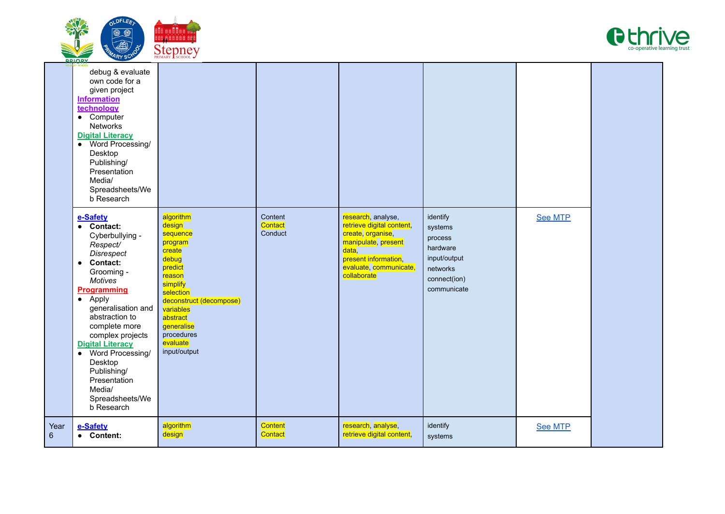



| Year<br>6 | e-Safety<br>• Content:                                                                                                                                                                                                                                                                                                                                                                                                                                                                                                                                                                                                                     | algorithm<br>design                                                                                                                                                                                                     | Content<br>Contact            | research, analyse,<br>retrieve digital content,                                                                                                                       | identify<br>systems                                                                                   | <b>See MTP</b> |  |
|-----------|--------------------------------------------------------------------------------------------------------------------------------------------------------------------------------------------------------------------------------------------------------------------------------------------------------------------------------------------------------------------------------------------------------------------------------------------------------------------------------------------------------------------------------------------------------------------------------------------------------------------------------------------|-------------------------------------------------------------------------------------------------------------------------------------------------------------------------------------------------------------------------|-------------------------------|-----------------------------------------------------------------------------------------------------------------------------------------------------------------------|-------------------------------------------------------------------------------------------------------|----------------|--|
|           | <b>Information</b><br>technology<br>• Computer<br><b>Networks</b><br><b>Digital Literacy</b><br>Word Processing/<br>$\bullet$<br>Desktop<br>Publishing/<br>Presentation<br>Media/<br>Spreadsheets/We<br>b Research<br>e-Safety<br><b>Contact:</b><br>$\bullet$<br>Cyberbullying -<br>Respect/<br><b>Disrespect</b><br><b>Contact:</b><br>$\bullet$<br>Grooming -<br>Motives<br><b>Programming</b><br>• Apply<br>generalisation and<br>abstraction to<br>complete more<br>complex projects<br><b>Digital Literacy</b><br>Word Processing/<br>$\bullet$<br>Desktop<br>Publishing/<br>Presentation<br>Media/<br>Spreadsheets/We<br>b Research | algorithm<br>design<br>sequence<br>program<br>create<br>debug<br>predict<br>reason<br>simplify<br>selection<br>deconstruct (decompose)<br>variables<br>abstract<br>generalise<br>procedures<br>evaluate<br>input/output | Content<br>Contact<br>Conduct | research, analyse,<br>retrieve digital content,<br>create, organise,<br>manipulate, present<br>data,<br>present information,<br>evaluate, communicate,<br>collaborate | identify<br>systems<br>process<br>hardware<br>input/output<br>networks<br>connect(ion)<br>communicate | <b>See MTP</b> |  |
|           | debug & evaluate<br>own code for a<br>given project                                                                                                                                                                                                                                                                                                                                                                                                                                                                                                                                                                                        |                                                                                                                                                                                                                         |                               |                                                                                                                                                                       |                                                                                                       |                |  |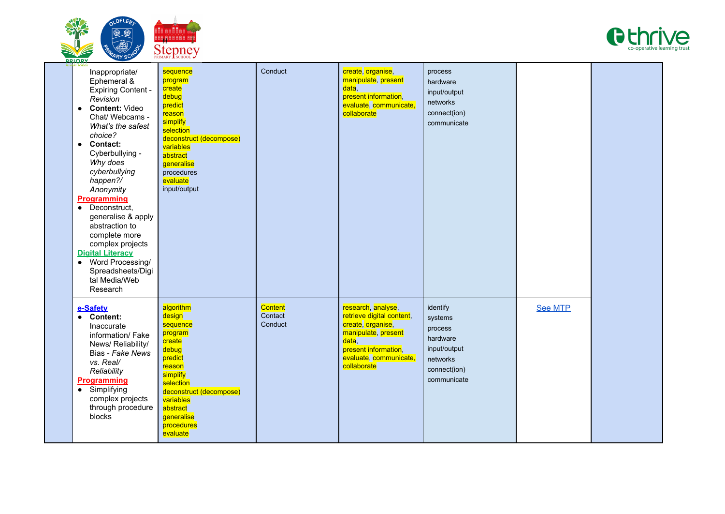



| <b>PRIORY</b>                                                                                                                                                                                                                                                                                                                                                                                                                                                                                                          |                                                                                                                                                                                                         |                               |                                                                                                                                                                       |                                                                                                       |                |  |
|------------------------------------------------------------------------------------------------------------------------------------------------------------------------------------------------------------------------------------------------------------------------------------------------------------------------------------------------------------------------------------------------------------------------------------------------------------------------------------------------------------------------|---------------------------------------------------------------------------------------------------------------------------------------------------------------------------------------------------------|-------------------------------|-----------------------------------------------------------------------------------------------------------------------------------------------------------------------|-------------------------------------------------------------------------------------------------------|----------------|--|
| Inappropriate/<br>Ephemeral &<br><b>Expiring Content -</b><br>Revision<br><b>Content: Video</b><br>$\bullet$<br>Chat/ Webcams -<br>What's the safest<br>choice?<br><b>Contact:</b><br>$\bullet$<br>Cyberbullying -<br>Why does<br>cyberbullying<br>happen?/<br>Anonymity<br><b>Programming</b><br>Deconstruct,<br>$\bullet$<br>generalise & apply<br>abstraction to<br>complete more<br>complex projects<br><b>Digital Literacy</b><br>Word Processing/<br>$\bullet$<br>Spreadsheets/Digi<br>tal Media/Web<br>Research | sequence<br>program<br>create<br>debug<br>predict<br>reason<br>simplify<br>selection<br>deconstruct (decompose)<br>variables<br>abstract<br>generalise<br>procedures<br>evaluate<br>input/output        | Conduct                       | create, organise,<br>manipulate, present<br>data.<br>present information,<br>evaluate, communicate,<br>collaborate                                                    | process<br>hardware<br>input/output<br>networks<br>connect(ion)<br>communicate                        |                |  |
| e-Safety<br><b>Content:</b><br>Inaccurate<br>information/ Fake<br>News/ Reliability/<br>Bias - Fake News<br>vs. Real/<br>Reliability<br><b>Programming</b><br>Simplifying<br>$\bullet$<br>complex projects<br>through procedure<br>blocks                                                                                                                                                                                                                                                                              | algorithm<br>design<br>sequence<br>program<br>create<br>debug<br>predict<br>reason<br>simplify<br>selection<br>deconstruct (decompose)<br>variables<br>abstract<br>generalise<br>procedures<br>evaluate | Content<br>Contact<br>Conduct | research, analyse,<br>retrieve digital content,<br>create, organise,<br>manipulate, present<br>data.<br>present information,<br>evaluate, communicate,<br>collaborate | identify<br>systems<br>process<br>hardware<br>input/output<br>networks<br>connect(ion)<br>communicate | <b>See MTP</b> |  |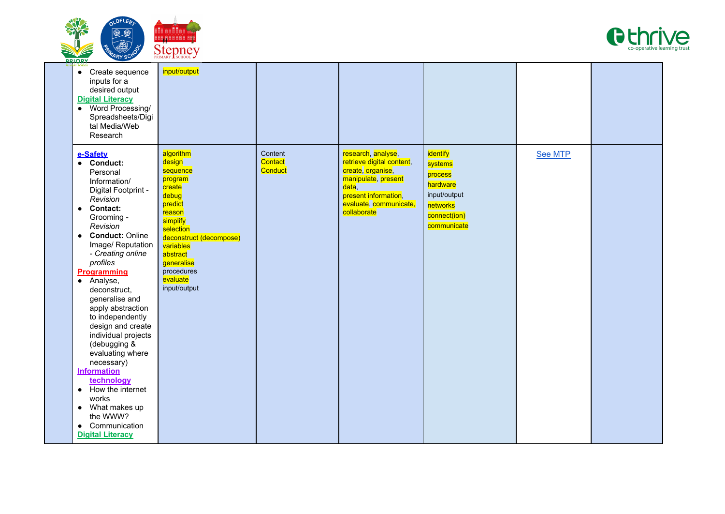



| • Create sequence<br>inputs for a<br>desired output<br><b>Digital Literacy</b><br>• Word Processing/<br>Spreadsheets/Digi<br>tal Media/Web<br>Research                                                                                                                                                                                                                                                                                                                                                                                                                                                                                     | input/output                                                                                                                                                                                                            |                               |                                                                                                                                                                       |                                                                                                       |         |  |
|--------------------------------------------------------------------------------------------------------------------------------------------------------------------------------------------------------------------------------------------------------------------------------------------------------------------------------------------------------------------------------------------------------------------------------------------------------------------------------------------------------------------------------------------------------------------------------------------------------------------------------------------|-------------------------------------------------------------------------------------------------------------------------------------------------------------------------------------------------------------------------|-------------------------------|-----------------------------------------------------------------------------------------------------------------------------------------------------------------------|-------------------------------------------------------------------------------------------------------|---------|--|
| e-Safety<br>• Conduct:<br>Personal<br>Information/<br>Digital Footprint -<br>Revision<br><b>Contact:</b><br>$\bullet$<br>Grooming -<br>Revision<br><b>Conduct: Online</b><br>$\bullet$<br>Image/ Reputation<br>- Creating online<br>profiles<br><b>Programming</b><br>Analyse,<br>$\bullet$<br>deconstruct.<br>generalise and<br>apply abstraction<br>to independently<br>design and create<br>individual projects<br>(debugging &<br>evaluating where<br>necessary)<br><b>Information</b><br>technology<br>How the internet<br>$\bullet$<br>works<br>What makes up<br>$\bullet$<br>the WWW?<br>• Communication<br><b>Digital Literacy</b> | algorithm<br>design<br>sequence<br>program<br>create<br>debug<br>predict<br>reason<br>simplify<br>selection<br>deconstruct (decompose)<br>variables<br>abstract<br>generalise<br>procedures<br>evaluate<br>input/output | Content<br>Contact<br>Conduct | research, analyse,<br>retrieve digital content,<br>create, organise,<br>manipulate, present<br>data,<br>present information,<br>evaluate, communicate,<br>collaborate | identify<br>systems<br>process<br>hardware<br>input/output<br>networks<br>connect(ion)<br>communicate | See MTP |  |